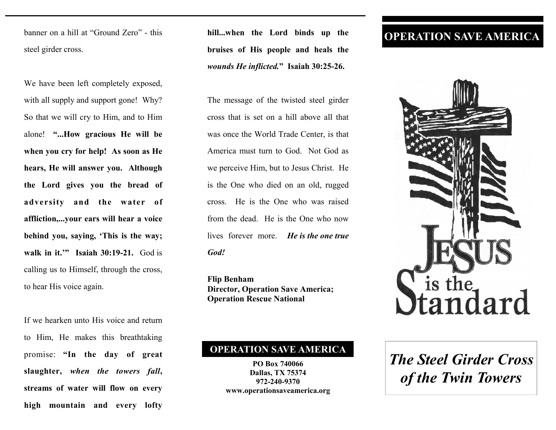banner on a hill at "Ground Zero" - this steel girder cross.

We have been left completely exposed, with all supply and support gone! Why? So that we will cry to Him, and to Him alone! **"...How gracious He will be when you cry for help! As soon as He hears, He will answer you. Although the Lord gives you the bread of adversity and the water of affliction,...your ears will hear a voice behind you, saying, 'This is the way; walk in it.'" Isaiah 30:19-21.** God is calling us to Himself, through the cross, to hear His voice again.

If we hearken unto His voice and return to Him, He makes this breathtaking promise: **"In the day of great slaughter,** *when the towers fall***, streams of water will flow on every high mountain and every lofty** 

**hill...when the Lord binds up the bruises of His people and heals the**  *wounds He inflicted.***" Isaiah 30:25-26.** 

The message of the twisted steel girder cross that is set on a hill above all that was once the World Trade Center, is that America must turn to God. Not God as we perceive Him, but to Jesus Christ. He is the One who died on an old, rugged cross. He is the One who was raised from the dead. He is the One who now lives forever more. *He is the one true God!* 

**Flip Benham Director, Operation Save America; Operation Rescue National** 

## **OPERATION SAVE AMERICA**

**PO Box 740066 Dallas, TX 75374 972-240-9370 www.operationsaveamerica.org** 

## **OPERATION SAVE AMERICA**



## *The Steel Girder Cross of the Twin Towers*